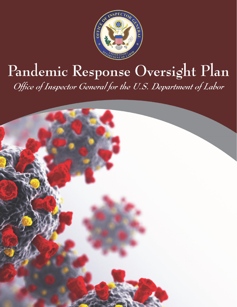

# Pandemic Response Oversight Plan Office of Inspector General for the U.S. Department of Labor

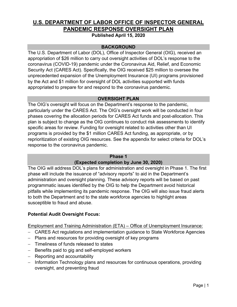## **U.S. DEPARTMENT OF LABOR OFFICE OF INSPECTOR GENERAL PANDEMIC RESPONSE OVERSIGHT PLAN**

**Published April 15, 2020** 

## **BACKGROUND**

The U.S. Department of Labor (DOL), Office of Inspector General (OIG), received an appropriation of \$26 million to carry out oversight activities of DOL's response to the coronavirus (COVID-19) pandemic under the Coronavirus Aid, Relief, and Economic Security Act (CARES Act). Specifically, the OIG received \$25 million to oversee the unprecedented expansion of the Unemployment Insurance (UI) programs provisioned by the Act and \$1 million for oversight of DOL activities supported with funds appropriated to prepare for and respond to the coronavirus pandemic.

## **OVERSIGHT PLAN**

The OIG's oversight will focus on the Department's response to the pandemic, particularly under the CARES Act. The OIG's oversight work will be conducted in four phases covering the allocation periods for CARES Act funds and post-allocation. This plan is subject to change as the OIG continues to conduct risk assessments to identify specific areas for review. Funding for oversight related to activities other than UI programs is provided by the \$1 million CARES Act funding, as appropriate, or by reprioritization of existing OIG resources. See the appendix for select criteria for DOL's response to the coronavirus pandemic.

#### **Phase 1**

## **(Expected completion by June 30, 2020)**

The OIG will address DOL's plans for administration and oversight in Phase 1. The first phase will include the issuance of "advisory reports" to aid in the Department's administration and oversight planning. These advisory reports will be based on past programmatic issues identified by the OIG to help the Department avoid historical pitfalls while implementing its pandemic response. The OIG will also issue fraud alerts to both the Department and to the state workforce agencies to highlight areas susceptible to fraud and abuse.

#### **Potential Audit Oversight Focus:**

Employment and Training Administration (ETA) – Office of Unemployment Insurance:

- CARES Act regulations and implementation guidance to State Workforce Agencies
- Plans and resources for providing oversight of key programs
- Timeliness of funds released to states
- Benefits paid to gig and self-employed workers
- Reporting and accountability
- Information Technology plans and resources for continuous operations, providing oversight, and preventing fraud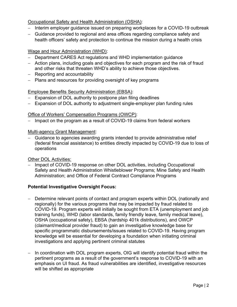## Occupational Safety and Health Administration (OSHA):

- Interim employer guidance issued on preparing workplaces for a COVID-19 outbreak
- Guidance provided to regional and area offices regarding compliance safety and health officers' safety and protection to continue the mission during a health crisis

## Wage and Hour Administration (WHD):

- Department CARES Act regulations and WHD implementation guidance
- Action plans, including goals and objectives for each program and the risk of fraud and other risks that threaten WHD's ability to achieve those objectives.
- Reporting and accountability
- Plans and resources for providing oversight of key programs

## Employee Benefits Security Administration (EBSA):

- Expansion of DOL authority to postpone plan filing deadlines
- Expansion of DOL authority to adjustment single-employer plan funding rules

## Office of Workers' Compensation Programs (OWCP):

- Impact on the program as a result of COVID-19 claims from federal workers

## Multi-agency Grant Management:

- Guidance to agencies awarding grants intended to provide administrative relief (federal financial assistance) to entities directly impacted by COVID-19 due to loss of operations

#### Other DOL Activities:

- Impact of COVID-19 response on other DOL activities, including Occupational Safety and Health Administration Whistleblower Programs; Mine Safety and Health Administration; and Office of Federal Contract Compliance Programs

## **Potential Investigative Oversight Focus:**

- Determine relevant points of contact and program experts within DOL (nationally and regionally) for the various programs that may be impacted by fraud related to COVID-19. Program experts will initially be sought from ETA (unemployment and job training funds), WHD (labor standards, family friendly leave, family medical leave), OSHA (occupational safety), EBSA (hardship 401k distributions), and OWCP (claimant/medical provider fraud) to gain an investigative knowledge base for specific programmatic disbursements/issues related to COVID-19. Having program knowledge will be essential for developing a foundation when initiating criminal investigations and applying pertinent criminal statutes
- In coordination with DOL program experts, OIG will identify potential fraud within the pertinent programs as a result of the government's response to COVID-19 with an emphasis on UI fraud. As fraud vulnerabilities are identified, investigative resources will be shifted as appropriate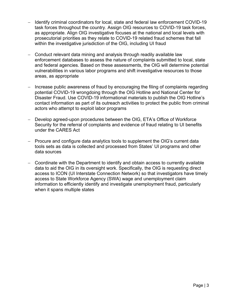- Identify criminal coordinators for local, state and federal law enforcement COVID-19 task forces throughout the country. Assign OIG resources to COVID-19 task forces, as appropriate. Align OIG investigative focuses at the national and local levels with prosecutorial priorities as they relate to COVID-19 related fraud schemes that fall within the investigative jurisdiction of the OIG, including UI fraud
- Conduct relevant data mining and analysis through readily available law enforcement databases to assess the nature of complaints submitted to local, state and federal agencies. Based on these assessments, the OIG will determine potential vulnerabilities in various labor programs and shift investigative resources to those areas, as appropriate
- Increase public awareness of fraud by encouraging the filing of complaints regarding potential COVID-19 wrongdoing through the OIG Hotline and National Center for Disaster Fraud. Use COVID-19 informational materials to publish the OIG Hotline's contact information as part of its outreach activities to protect the public from criminal actors who attempt to exploit labor programs
- Develop agreed-upon procedures between the OIG, ETA's Office of Workforce Security for the referral of complaints and evidence of fraud relating to UI benefits under the CARES Act
- Procure and configure data analytics tools to supplement the OIG's current data tools sets as data is collected and processed from States' UI programs and other data sources
- Coordinate with the Department to identify and obtain access to currently available data to aid the OIG in its oversight work. Specifically, the OIG is requesting direct access to ICON (UI Interstate Connection Network) so that investigators have timely access to State Workforce Agency (SWA) wage and unemployment claim information to efficiently identify and investigate unemployment fraud, particularly when it spans multiple states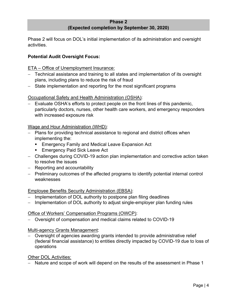#### **Phase 2 (Expected completion by September 30, 2020)**

Phase 2 will focus on DOL's initial implementation of its administration and oversight activities.

## **Potential Audit Oversight Focus:**

## ETA – Office of Unemployment Insurance:

- Technical assistance and training to all states and implementation of its oversight plans, including plans to reduce the risk of fraud
- State implementation and reporting for the most significant programs

## Occupational Safety and Health Administration (OSHA):

- Evaluate OSHA's efforts to protect people on the front lines of this pandemic, particularly doctors, nurses, other health care workers, and emergency responders with increased exposure risk

## Wage and Hour Administration (WHD):

- Plans for providing technical assistance to regional and district offices when implementing the:
	- **Emergency Family and Medical Leave Expansion Act**
	- **Emergency Paid Sick Leave Act**
- Challenges during COVID-19 action plan implementation and corrective action taken to resolve the issues
- $-$  Reporting and accountability
- Preliminary outcomes of the affected programs to identify potential internal control weaknesses

#### Employee Benefits Security Administration (EBSA):

- Implementation of DOL authority to postpone plan filing deadlines
- Implementation of DOL authority to adjust single-employer plan funding rules

#### Office of Workers' Compensation Programs (OWCP):

Oversight of compensation and medical claims related to COVID-19

#### Multi-agency Grants Management:

 Oversight of agencies awarding grants intended to provide administrative relief (federal financial assistance) to entities directly impacted by COVID-19 due to loss of operations

#### Other DOL Activities:

- Nature and scope of work will depend on the results of the assessment in Phase 1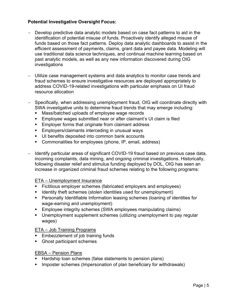## **Potential Investigative Oversight Focus:**

- Develop predictive data analytic models based on case fact patterns to aid in the identification of potential misuse of funds. Proactively identify alleged misuse of funds based on those fact patterns. Deploy data analytic dashboards to assist in the efficient assessment of payments, claims, grant data and payee data. Modeling will use traditional data science techniques, and continual machine learning based on past analytic models, as well as any new information discovered during OIG investigations
- Utilize case management systems and data analytics to monitor case trends and fraud schemes to ensure investigative resources are deployed appropriately to address COVID-19-related investigations with particular emphasis on UI fraud resource allocation
- Specifically, when addressing unemployment fraud, OIG will coordinate directly with SWA investigative units to determine fraud trends that may emerge including:
	- **Mass/batched uploads of employee wage records**
	- Employee wages submitted near or after claimant's UI claim is filed
	- **Employer forms that originate from claimant address**
	- **Employers/claimants interceding in unusual ways**
	- UI benefits deposited into common bank accounts
	- Commonalities for employees (phone, IP, email, address)
- Identify particular areas of significant COVID-19 fraud based on previous case data, incoming complaints, data mining, and ongoing criminal investigations. Historically, following disaster relief and stimulus funding deployed by DOL, OIG has seen an increase in organized criminal fraud schemes relating to the following programs:

#### ETA – Unemployment Insurance

- Fictitious employer schemes (fabricated employers and employees)
- **If Identity theft schemes (stolen identities used for unemployment)**
- Personally Identifiable Information leasing schemes (loaning of identities for wage-earning and unemployment)
- **Employee integrity schemes (SWA employees manipulating claims)**
- Unemployment supplement schemes (utilizing unemployment to pay regular wages)

#### ETA – Job Training Programs

- **Embezzlement of job training funds**
- Ghost participant schemes

#### EBSA – Pension Plans

- Hardship loan schemes (false statements to pension plans)
- **IMPOPER 19 Imposter schemes (Impersonation of plan beneficiary for withdrawals)**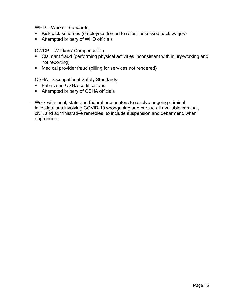#### WHD – Worker Standards

- Kickback schemes (employees forced to return assessed back wages)
- **Attempted bribery of WHD officials**

#### OWCP – Workers' Compensation

- Claimant fraud (performing physical activities inconsistent with injury/working and not reporting)
- Medical provider fraud (billing for services not rendered)

## OSHA – Occupational Safety Standards

- **Fabricated OSHA certifications**
- Attempted bribery of OSHA officials
- Work with local, state and federal prosecutors to resolve ongoing criminal investigations involving COVID-19 wrongdoing and pursue all available criminal, civil, and administrative remedies, to include suspension and debarment, when appropriate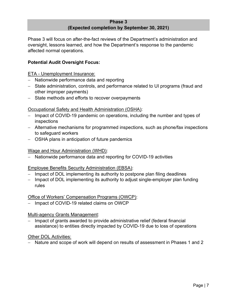#### **Phase 3 (Expected completion by September 30, 2021)**

Phase 3 will focus on after-the-fact reviews of the Department's administration and oversight, lessons learned, and how the Department's response to the pandemic affected normal operations.

## **Potential Audit Oversight Focus:**

ETA - Unemployment Insurance:

- Nationwide performance data and reporting
- State administration, controls, and performance related to UI programs (fraud and other improper payments)
- State methods and efforts to recover overpayments

## Occupational Safety and Health Administration (OSHA):

- inspections - Impact of COVID-19 pandemic on operations, including the number and types of
- Alternative mechanisms for programmed inspections, such as phone/fax inspections to safeguard workers
- OSHA plans in anticipation of future pandemics

#### Wage and Hour Administration (WHD):

- Nationwide performance data and reporting for COVID-19 activities

## Employee Benefits Security Administration (EBSA):

- Impact of DOL implementing its authority to postpone plan filing deadlines
- Impact of DOL implementing its authority to adjust single-employer plan funding rules

#### Office of Workers' Compensation Programs (OWCP):

Impact of COVID-19 related claims on OWCP

#### Multi-agency Grants Management:

 Impact of grants awarded to provide administrative relief (federal financial assistance) to entities directly impacted by COVID-19 due to loss of operations

#### Other DOL Activities:

Nature and scope of work will depend on results of assessment in Phases 1 and 2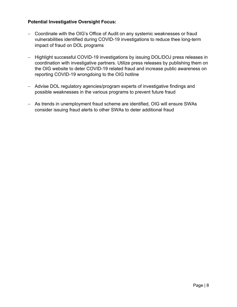## **Potential Investigative Oversight Focus:**

- Coordinate with the OIG's Office of Audit on any systemic weaknesses or fraud vulnerabilities identified during COVID-19 investigations to reduce thee long-term impact of fraud on DOL programs
- Highlight successful COVID-19 investigations by issuing DOL/DOJ press releases in coordination with investigative partners. Utilize press releases by publishing them on the OIG website to deter COVID-19 related fraud and increase public awareness on reporting COVID-19 wrongdoing to the OIG hotline
- Advise DOL regulatory agencies/program experts of investigative findings and possible weaknesses in the various programs to prevent future fraud
- As trends in unemployment fraud scheme are identified, OIG will ensure SWAs consider issuing fraud alerts to other SWAs to deter additional fraud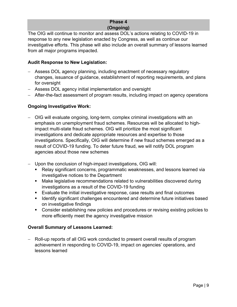## **Phase 4 (Ongoing)**

The OIG will continue to monitor and assess DOL's actions relating to COVID-19 in response to any new legislation enacted by Congress, as well as continue our investigative efforts. This phase will also include an overall summary of lessons learned from all major programs impacted.

## **Audit Response to New Legislation:**

- Assess DOL agency planning, including enactment of necessary regulatory changes, issuance of guidance, establishment of reporting requirements, and plans for oversight
- Assess DOL agency initial implementation and oversight
- After-the-fact assessment of program results, including impact on agency operations

## **Ongoing Investigative Work:**

- OIG will evaluate ongoing, long-term, complex criminal investigations with an emphasis on unemployment fraud schemes. Resources will be allocated to highimpact multi-state fraud schemes. OIG will prioritize the most significant investigations and dedicate appropriate resources and expertise to those investigations. Specifically, OIG will determine if new fraud schemes emerged as a result of COVID-19 funding. To deter future fraud, we will notify DOL program agencies about those new schemes
- Upon the conclusion of high-impact investigations, OIG will:
	- Relay significant concerns, programmatic weaknesses, and lessons learned via investigative notices to the Department
	- Make legislative recommendations related to vulnerabilities discovered during investigations as a result of the COVID-19 funding
	- Evaluate the initial investigative response, case results and final outcomes
	- **If Identify significant challenges encountered and determine future initiatives based** on investigative findings
	- Consider establishing new policies and procedures or revising existing policies to more efficiently meet the agency investigative mission

## **Overall Summary of Lessons Learned:**

 Roll-up reports of all OIG work conducted to present overall results of program achievement in responding to COVID-19, impact on agencies' operations, and lessons learned